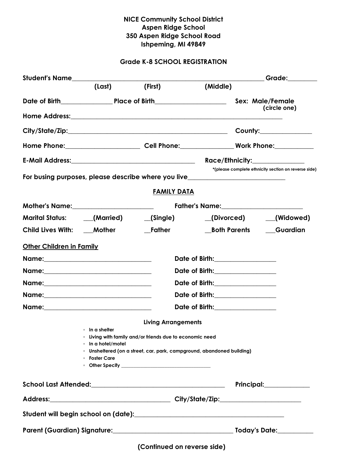## NICE Community School District Aspen Ridge School 350 Aspen Ridge School Road Ishpeming, MI 49849

## Grade K-8 SCHOOL REGISTRATION

| Student's Name___________________ |                                      |                                                                |                                                                                                               | Grade:_________                                      |  |
|-----------------------------------|--------------------------------------|----------------------------------------------------------------|---------------------------------------------------------------------------------------------------------------|------------------------------------------------------|--|
|                                   | (Last) (First)                       |                                                                | (Middle)                                                                                                      |                                                      |  |
|                                   |                                      |                                                                |                                                                                                               |                                                      |  |
|                                   |                                      |                                                                |                                                                                                               | (circle one)                                         |  |
|                                   |                                      |                                                                |                                                                                                               | County:______________                                |  |
|                                   |                                      |                                                                | Home Phone:_______________________________Cell Phone:____________________________ Work Phone:________________ |                                                      |  |
|                                   |                                      |                                                                |                                                                                                               | Race/Ethnicity:_______________                       |  |
|                                   |                                      |                                                                | For busing purposes, please describe where you live_____________________________                              | *(please complete ethnicity section on reverse side) |  |
|                                   |                                      | <u>FAMILY DATA</u>                                             |                                                                                                               |                                                      |  |
|                                   |                                      |                                                                |                                                                                                               |                                                      |  |
|                                   |                                      |                                                                | Marital Status: ____(Married) ______(Single) ________(Divorced) _____(Widowed)                                |                                                      |  |
| Child Lives With: ____ Mother     |                                      |                                                                | __Both Parents                                                                                                | Guardian                                             |  |
| <b>Other Children in Family</b>   |                                      |                                                                |                                                                                                               |                                                      |  |
|                                   |                                      |                                                                | Date of Birth:________________                                                                                |                                                      |  |
|                                   | Date of Birth:________________       |                                                                |                                                                                                               |                                                      |  |
|                                   | Date of Birth:________________       |                                                                |                                                                                                               |                                                      |  |
|                                   |                                      |                                                                | Date of Birth:________________                                                                                |                                                      |  |
|                                   |                                      |                                                                | Date of Birth:_______________                                                                                 |                                                      |  |
|                                   |                                      | <b>Living Arrangements</b>                                     |                                                                                                               |                                                      |  |
|                                   | ∘ In a shelter<br>∘ In a hotel/motel | <b>Eliving with family and/or friends due to economic need</b> |                                                                                                               |                                                      |  |
|                                   | • Foster Care                        |                                                                | Unsheltered (on a street, car, park, campground, abandoned building)                                          |                                                      |  |
|                                   |                                      |                                                                |                                                                                                               | Principal:______________                             |  |
|                                   |                                      |                                                                |                                                                                                               |                                                      |  |
|                                   |                                      |                                                                |                                                                                                               |                                                      |  |
|                                   |                                      |                                                                |                                                                                                               |                                                      |  |
|                                   |                                      |                                                                |                                                                                                               |                                                      |  |

(Continued on reverse side)